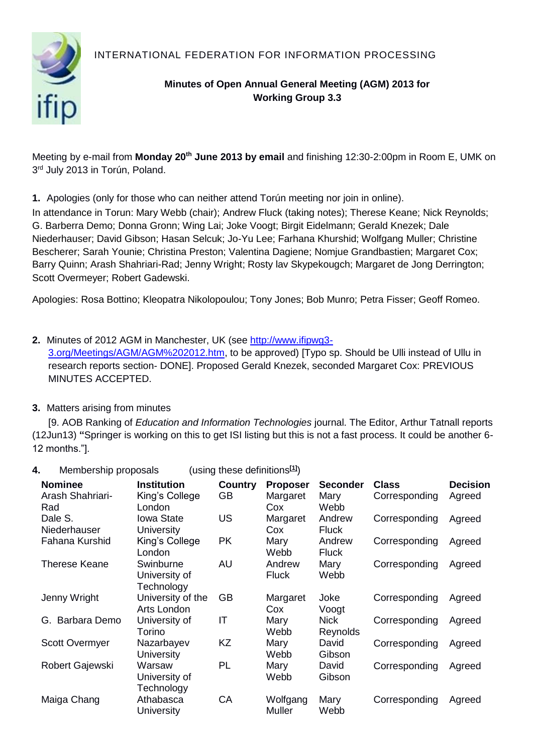INTERNATIONAL FEDERATION FOR INFORMATION PROCESSING



## **Minutes of Open Annual General Meeting (AGM) 2013 for Working Group 3.3**

Meeting by e-mail from **Monday 20th June 2013 by email** and finishing 12:30-2:00pm in Room E, UMK on 3<sup>rd</sup> July 2013 in Torún, Poland.

**1.** Apologies (only for those who can neither attend Torún meeting nor join in online).

In attendance in Torun: Mary Webb (chair); Andrew Fluck (taking notes); Therese Keane; Nick Reynolds; G. Barberra Demo; Donna Gronn; Wing Lai; Joke Voogt; Birgit Eidelmann; Gerald Knezek; Dale Niederhauser; David Gibson; Hasan Selcuk; Jo-Yu Lee; Farhana Khurshid; Wolfgang Muller; Christine Bescherer; Sarah Younie; Christina Preston; Valentina Dagiene; Nomjue Grandbastien; Margaret Cox; Barry Quinn; Arash Shahriari-Rad; Jenny Wright; Rosty lav Skypekougch; Margaret de Jong Derrington; Scott Overmeyer; Robert Gadewski.

Apologies: Rosa Bottino; Kleopatra Nikolopoulou; Tony Jones; Bob Munro; Petra Fisser; Geoff Romeo.

### **2.** Minutes of 2012 AGM in Manchester, UK (see [http://www.ifipwg3-](http://www.ifipwg3-3.org/Meetings/AGM/AGM2012.htm)

[3.org/Meetings/AGM/AGM%202012.htm,](http://www.ifipwg3-3.org/Meetings/AGM/AGM2012.htm) to be approved) [Typo sp. Should be Ulli instead of Ullu in research reports section- DONE]. Proposed Gerald Knezek, seconded Margaret Cox: PREVIOUS MINUTES ACCEPTED.

### **3.** Matters arising from minutes

[9. AOB Ranking of *Education and Information Technologies* journal. The Editor, Arthur Tatnall reports (12Jun13) **"**Springer is working on this to get ISI listing but this is not a fast process. It could be another 6- 12 months."].

### **4.** Membership proposals (using these definitions**[\[1\]](#page-6-0)**)

| <b>Nominee</b><br>Arash Shahriari- | <b>Institution</b><br>King's College     | <b>Country</b><br>GB | <b>Proposer</b><br>Margaret | <b>Seconder</b><br>Mary | <b>Class</b><br>Corresponding | <b>Decision</b> |
|------------------------------------|------------------------------------------|----------------------|-----------------------------|-------------------------|-------------------------------|-----------------|
| Rad                                | London                                   |                      | Cox                         | Webb                    |                               | Agreed          |
| Dale S.<br>Niederhauser            | <b>Iowa State</b><br><b>University</b>   | <b>US</b>            | Margaret<br>Cox             | Andrew<br><b>Fluck</b>  | Corresponding                 | Agreed          |
| Fahana Kurshid                     | King's College<br>London                 | <b>PK</b>            | Mary<br>Webb                | Andrew<br><b>Fluck</b>  | Corresponding                 | Agreed          |
| Therese Keane                      | Swinburne<br>University of<br>Technology | AU                   | Andrew<br><b>Fluck</b>      | Mary<br>Webb            | Corresponding                 | Agreed          |
| Jenny Wright                       | University of the<br>Arts London         | <b>GB</b>            | Margaret<br>Cox             | Joke<br>Voogt           | Corresponding                 | Agreed          |
| G. Barbara Demo                    | University of<br>Torino                  | IT                   | Mary<br>Webb                | <b>Nick</b><br>Reynolds | Corresponding                 | Agreed          |
| <b>Scott Overmyer</b>              | Nazarbayev<br><b>University</b>          | KZ                   | Mary<br>Webb                | David<br>Gibson         | Corresponding                 | Agreed          |
| Robert Gajewski                    | Warsaw<br>University of<br>Technology    | PL                   | Mary<br>Webb                | David<br>Gibson         | Corresponding                 | Agreed          |
| Maiga Chang                        | Athabasca<br>University                  | CA                   | Wolfgang<br><b>Muller</b>   | Mary<br>Webb            | Corresponding                 | Agreed          |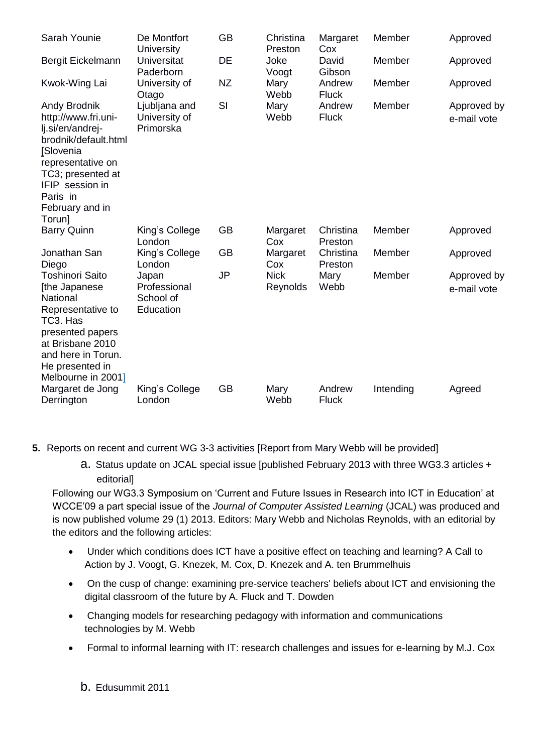| Sarah Younie                                                                                                                                                                                       | De Montfort<br>University                       | GB        | Christina<br>Preston    | Margaret<br>Cox        | Member    | Approved                   |
|----------------------------------------------------------------------------------------------------------------------------------------------------------------------------------------------------|-------------------------------------------------|-----------|-------------------------|------------------------|-----------|----------------------------|
| Bergit Eickelmann                                                                                                                                                                                  | <b>Universitat</b><br>Paderborn                 | DE        | Joke<br>Voogt           | David<br>Gibson        | Member    | Approved                   |
| Kwok-Wing Lai                                                                                                                                                                                      | University of<br>Otago                          | <b>NZ</b> | Mary<br>Webb            | Andrew<br><b>Fluck</b> | Member    | Approved                   |
| Andy Brodnik<br>http://www.fri.uni-<br>lj.si/en/andrej-<br>brodnik/default.html<br>[Slovenia<br>representative on<br>TC3; presented at<br>IFIP session in<br>Paris in<br>February and in<br>Torun] | Ljubljana and<br>University of<br>Primorska     | SI        | Mary<br>Webb            | Andrew<br><b>Fluck</b> | Member    | Approved by<br>e-mail vote |
| <b>Barry Quinn</b>                                                                                                                                                                                 | King's College<br>London                        | <b>GB</b> | Margaret<br>Cox         | Christina<br>Preston   | Member    | Approved                   |
| Jonathan San<br>Diego                                                                                                                                                                              | King's College<br>London                        | <b>GB</b> | Margaret<br>Cox         | Christina<br>Preston   | Member    | Approved                   |
| <b>Toshinori Saito</b><br>[the Japanese<br>National<br>Representative to<br>TC3. Has<br>presented papers<br>at Brisbane 2010<br>and here in Torun.<br>He presented in<br>Melbourne in 2001]        | Japan<br>Professional<br>School of<br>Education | <b>JP</b> | <b>Nick</b><br>Reynolds | Mary<br>Webb           | Member    | Approved by<br>e-mail vote |
| Margaret de Jong<br>Derrington                                                                                                                                                                     | King's College<br>London                        | <b>GB</b> | Mary<br>Webb            | Andrew<br><b>Fluck</b> | Intending | Agreed                     |

- **5.** Reports on recent and current WG 3-3 activities [Report from Mary Webb will be provided]
	- a. Status update on JCAL special issue [published February 2013 with three WG3.3 articles + editorial]

Following our WG3.3 Symposium on 'Current and Future Issues in Research into ICT in Education' at WCCE'09 a part special issue of the *Journal of Computer Assisted Learning* (JCAL) was produced and is now published volume 29 (1) 2013. Editors: Mary Webb and Nicholas Reynolds, with an editorial by the editors and the following articles:

- Under which conditions does ICT have a positive effect on teaching and learning? A Call to Action by J. Voogt, G. Knezek, M. Cox, D. Knezek and A. ten Brummelhuis
- On the cusp of change: examining pre-service teachers' beliefs about ICT and envisioning the digital classroom of the future by A. Fluck and T. Dowden
- Changing models for researching pedagogy with information and communications technologies by M. Webb
- Formal to informal learning with IT: research challenges and issues for e-learning by M.J. Cox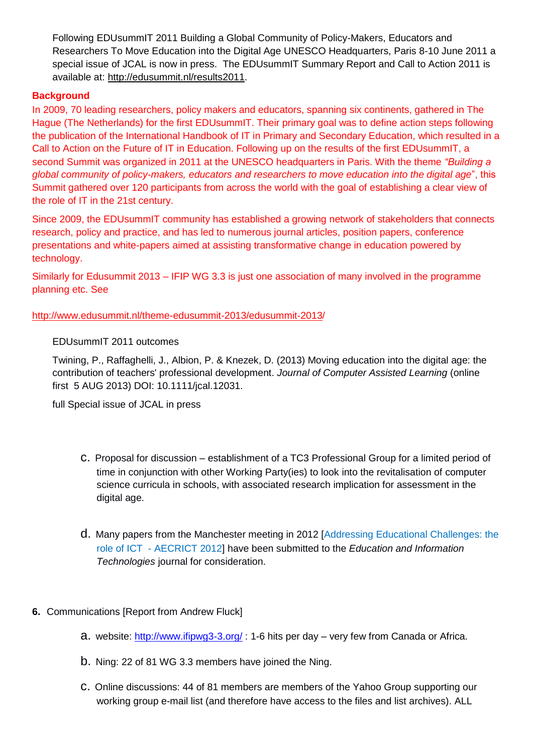Following EDUsummIT 2011 Building a Global Community of Policy-Makers, Educators and Researchers To Move Education into the Digital Age UNESCO Headquarters, Paris 8-10 June 2011 a special issue of JCAL is now in press. The EDUsummIT Summary Report and Call to Action 2011 is available at: [http://edusummit.nl/results2011.](../../../../../../Andrew/Documents/2013/Projects/IFIP%20WG3.3/AGM2013/Traffic/redir.aspx?C=tO3TfXVm9UGLu2PcUxta4tgfrreYQdAIXdVi7hOVgwKnTUJEeqN7pbLb6BO7KblUw5tR8R7CmqA.&URL=http://edusummit.nl/results2011)

#### **Background**

In 2009, 70 leading researchers, policy makers and educators, spanning six continents, gathered in The Hague (The Netherlands) for the first EDUsummIT. Their primary goal was to define action steps following the publication of the International Handbook of IT in Primary and Secondary Education, which resulted in a Call to Action on the Future of IT in Education. Following up on the results of the first EDUsummIT, a second Summit was organized in 2011 at the UNESCO headquarters in Paris. With the theme *"Building a global community of policy-makers, educators and researchers to move education into the digital age*", this Summit gathered over 120 participants from across the world with the goal of establishing a clear view of the role of IT in the 21st century.

Since 2009, the EDUsummIT community has established a growing network of stakeholders that connects research, policy and practice, and has led to numerous journal articles, position papers, conference presentations and white-papers aimed at assisting transformative change in education powered by technology.

Similarly for Edusummit 2013 – IFIP WG 3.3 is just one association of many involved in the programme planning etc. See

[http://www.edusummit.nl/theme-edusummit-2013/edusummit-2013/](../../../../../../Andrew/Documents/2013/Projects/IFIP%20WG3.3/AGM2013/Traffic/redir.aspx?C=tO3TfXVm9UGLu2PcUxta4tgfrreYQdAIXdVi7hOVgwKnTUJEeqN7pbLb6BO7KblUw5tR8R7CmqA.&URL=http://www.edusummit.nl/theme-edusummit-2013/edusummit-2013)

#### EDUsummIT 2011 outcomes

Twining, P., Raffaghelli, J., Albion, P. & Knezek, D. (2013) Moving education into the digital age: the contribution of teachers' professional development. *Journal of Computer Assisted Learning* (online first 5 AUG 2013) DOI: 10.1111/jcal.12031.

full Special issue of JCAL in press

- c. Proposal for discussion establishment of a TC3 Professional Group for a limited period of time in conjunction with other Working Party(ies) to look into the revitalisation of computer science curricula in schools, with associated research implication for assessment in the digital age.
- d. Many papers from the Manchester meeting in 2012 [\[Addressing Educational Challenges: the](http://www.esri.mmu.ac.uk/aecrict/)  role of ICT - [AECRICT 2012\]](http://www.esri.mmu.ac.uk/aecrict/) have been submitted to the *Education and Information Technologies* journal for consideration.
- **6.** Communications [Report from Andrew Fluck]
	- a. website:<http://www.ifipwg3-3.org/> : 1-6 hits per day very few from Canada or Africa.
	- b. Ning: 22 of 81 WG 3.3 members have joined the Ning.
	- c. Online discussions: 44 of 81 members are members of the Yahoo Group supporting our working group e-mail list (and therefore have access to the files and list archives). ALL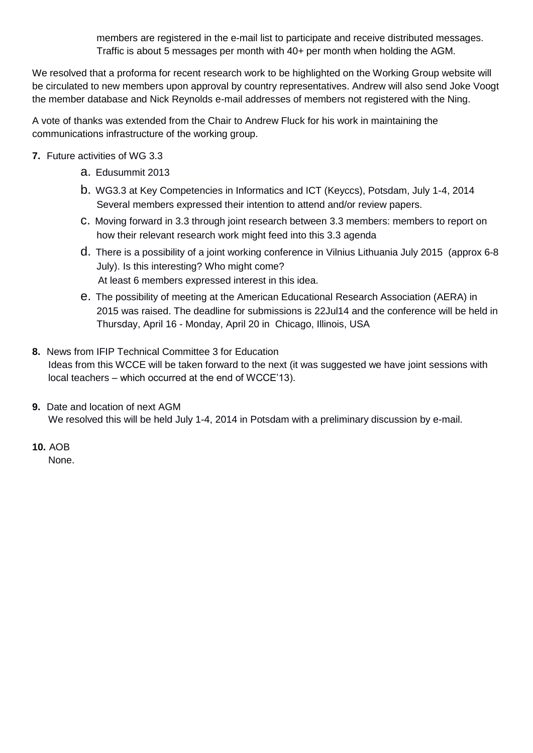members are registered in the e-mail list to participate and receive distributed messages. Traffic is about 5 messages per month with 40+ per month when holding the AGM.

We resolved that a proforma for recent research work to be highlighted on the Working Group website will be circulated to new members upon approval by country representatives. Andrew will also send Joke Voogt the member database and Nick Reynolds e-mail addresses of members not registered with the Ning.

A vote of thanks was extended from the Chair to Andrew Fluck for his work in maintaining the communications infrastructure of the working group.

- **7.** Future activities of WG 3.3
	- a. Edusummit 2013
	- b. WG3.3 at Key Competencies in Informatics and ICT (Keyccs), Potsdam, July 1-4, 2014 Several members expressed their intention to attend and/or review papers.
	- c. Moving forward in 3.3 through joint research between 3.3 members: members to report on how their relevant research work might feed into this 3.3 agenda
	- d. There is a possibility of a joint working conference in Vilnius Lithuania July 2015 (approx 6-8 July). Is this interesting? Who might come? At least 6 members expressed interest in this idea.
	- e. The possibility of meeting at the American Educational Research Association (AERA) in 2015 was raised. The deadline for submissions is 22Jul14 and the conference will be held in Thursday, April 16 - Monday, April 20 in Chicago, Illinois, USA
- **8.** News from IFIP Technical Committee 3 for Education Ideas from this WCCE will be taken forward to the next (it was suggested we have joint sessions with local teachers – which occurred at the end of WCCE'13).
- **9.** Date and location of next AGM We resolved this will be held July 1-4, 2014 in Potsdam with a preliminary discussion by e-mail.
- **10.** AOB

None.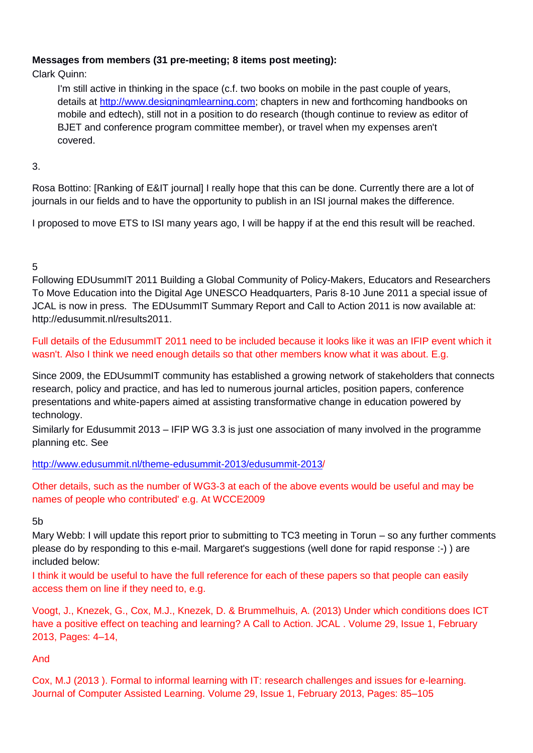### **Messages from members (31 pre-meeting; 8 items post meeting):**

Clark Quinn:

I'm still active in thinking in the space (c.f. two books on mobile in the past couple of years, details at [http://www.designingmlearning.com;](https://owa.utas.edu.au/owa/redir.aspx?C=PVPcJ1o6lkKjMxLrPbUG7AAboGM5S9AI4Y1gj9XkUD0Isd-sZFCCT5wBiJAf41vixJqS6quoAjU.&URL=http%3A%2F%2Fwww.designingmlearning.com) chapters in new and forthcoming handbooks on mobile and edtech), still not in a position to do research (though continue to review as editor of BJET and conference program committee member), or travel when my expenses aren't covered.

### 3.

Rosa Bottino: [Ranking of E&IT journal] I really hope that this can be done. Currently there are a lot of journals in our fields and to have the opportunity to publish in an ISI journal makes the difference.

I proposed to move ETS to ISI many years ago, I will be happy if at the end this result will be reached.

# 5

Following EDUsummIT 2011 Building a Global Community of Policy-Makers, Educators and Researchers To Move Education into the Digital Age UNESCO Headquarters, Paris 8-10 June 2011 a special issue of JCAL is now in press. The EDUsummIT Summary Report and Call to Action 2011 is now available at: [http://edusummit.nl/results2011.](http://edusummit.nl/results2011)

Full details of the EdusummIT 2011 need to be included because it looks like it was an IFIP event which it wasn't. Also I think we need enough details so that other members know what it was about. E.g.

Since 2009, the EDUsummIT community has established a growing network of stakeholders that connects research, policy and practice, and has led to numerous journal articles, position papers, conference presentations and white-papers aimed at assisting transformative change in education powered by technology.

Similarly for Edusummit 2013 – IFIP WG 3.3 is just one association of many involved in the programme planning etc. See

[http://www.edusummit.nl/theme-edusummit-2013/edusummit-2013/](http://www.edusummit.nl/theme-edusummit-2013/edusummit-2013)

Other details, such as the number of WG3-3 at each of the above events would be useful and may be names of people who contributed' e.g. At WCCE2009

5b

Mary Webb: I will update this report prior to submitting to TC3 meeting in Torun – so any further comments please do by responding to this e-mail. Margaret's suggestions (well done for rapid response :-) ) are included below:

I think it would be useful to have the full reference for each of these papers so that people can easily access them on line if they need to, e.g.

Voogt, J., Knezek, G., Cox, M.J., Knezek, D. & Brummelhuis, A. (2013) Under which conditions does ICT have a positive effect on teaching and learning? A Call to Action. JCAL . Volume 29, Issue 1, February 2013, Pages: 4–14,

## And

Cox, M.J (2013 ). Formal to informal learning with IT: research challenges and issues for e-learning. Journal of Computer Assisted Learning. Volume 29, Issue 1, February 2013, Pages: 85–105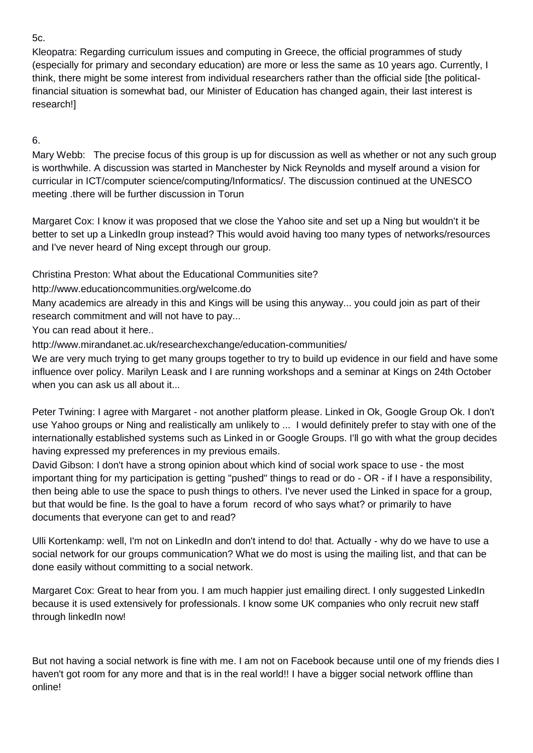5c.

Kleopatra: Regarding curriculum issues and computing in Greece, the official programmes of study (especially for primary and secondary education) are more or less the same as 10 years ago. Currently, I think, there might be some interest from individual researchers rather than the official side [the politicalfinancial situation is somewhat bad, our Minister of Education has changed again, their last interest is research!]

# 6.

Mary Webb: The precise focus of this group is up for discussion as well as whether or not any such group is worthwhile. A discussion was started in Manchester by Nick Reynolds and myself around a vision for curricular in ICT/computer science/computing/Informatics/. The discussion continued at the UNESCO meeting .there will be further discussion in Torun

Margaret Cox: I know it was proposed that we close the Yahoo site and set up a Ning but wouldn't it be better to set up a LinkedIn group instead? This would avoid having too many types of networks/resources and I've never heard of Ning except through our group.

Christina Preston: What about the Educational Communities site?

http://www.educationcommunities.org/welcome.do

Many academics are already in this and Kings will be using this anyway... you could join as part of their research commitment and will not have to pay...

You can read about it here..

http://www.mirandanet.ac.uk/researchexchange/education-communities/

We are very much trying to get many groups together to try to build up evidence in our field and have some influence over policy. Marilyn Leask and I are running workshops and a seminar at Kings on 24th October when you can ask us all about it...

Peter Twining: I agree with Margaret - not another platform please. Linked in Ok, Google Group Ok. I don't use Yahoo groups or Ning and realistically am unlikely to ... I would definitely prefer to stay with one of the internationally established systems such as Linked in or Google Groups. I'll go with what the group decides having expressed my preferences in my previous emails.

David Gibson: I don't have a strong opinion about which kind of social work space to use - the most important thing for my participation is getting "pushed" things to read or do - OR - if I have a responsibility, then being able to use the space to push things to others. I've never used the Linked in space for a group, but that would be fine. Is the goal to have a forum record of who says what? or primarily to have documents that everyone can get to and read?

Ulli Kortenkamp: well, I'm not on LinkedIn and don't intend to do! that. Actually - why do we have to use a social network for our groups communication? What we do most is using the mailing list, and that can be done easily without committing to a social network.

Margaret Cox: Great to hear from you. I am much happier just emailing direct. I only suggested LinkedIn because it is used extensively for professionals. I know some UK companies who only recruit new staff through linkedIn now!

But not having a social network is fine with me. I am not on Facebook because until one of my friends dies I haven't got room for any more and that is in the real world!! I have a bigger social network offline than online!